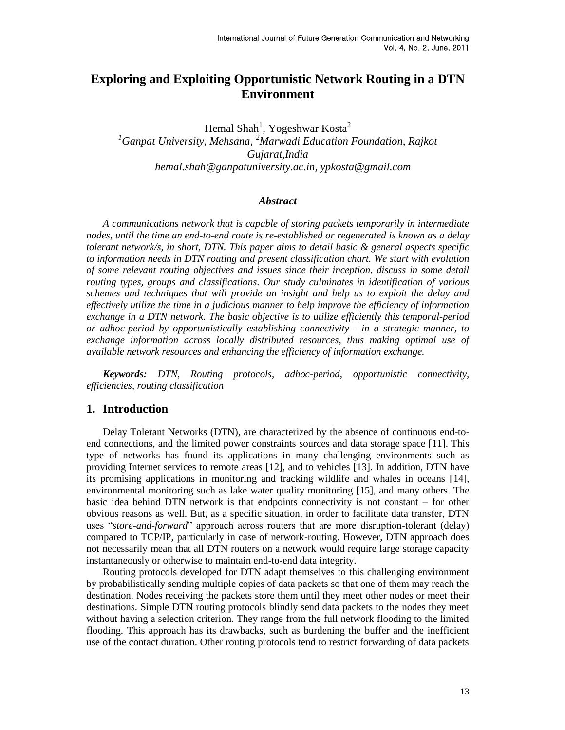# **Exploring and Exploiting Opportunistic Network Routing in a DTN Environment**

Hemal Shah<sup>1</sup>, Yogeshwar Kosta<sup>2</sup> *<sup>1</sup>Ganpat University, Mehsana, <sup>2</sup>Marwadi Education Foundation, Rajkot Gujarat,India hemal.shah@ganpatuniversity.ac.in, ypkosta@gmail.com* 

#### *Abstract*

*A communications network that is capable of storing packets temporarily in intermediate nodes, until the time an end-to-end route is re-established or regenerated is known as a delay tolerant network/s, in short, DTN. This paper aims to detail basic & general aspects specific to information needs in DTN routing and present classification chart. We start with evolution of some relevant routing objectives and issues since their inception, discuss in some detail routing types, groups and classifications. Our study culminates in identification of various schemes and techniques that will provide an insight and help us to exploit the delay and effectively utilize the time in a judicious manner to help improve the efficiency of information exchange in a DTN network. The basic objective is to utilize efficiently this temporal-period or adhoc-period by opportunistically establishing connectivity - in a strategic manner, to exchange information across locally distributed resources, thus making optimal use of available network resources and enhancing the efficiency of information exchange.*

*Keywords: DTN, Routing protocols, adhoc-period, opportunistic connectivity, efficiencies, routing classification*

#### **1. Introduction**

Delay Tolerant Networks (DTN), are characterized by the absence of continuous end-toend connections, and the limited power constraints sources and data storage space [11]. This type of networks has found its applications in many challenging environments such as providing Internet services to remote areas [12], and to vehicles [13]. In addition, DTN have its promising applications in monitoring and tracking wildlife and whales in oceans [14], environmental monitoring such as lake water quality monitoring [15], and many others. The basic idea behind DTN network is that endpoints connectivity is not constant – for other obvious reasons as well. But, as a specific situation, in order to facilitate data transfer, DTN uses "*store-and-forward*" approach across routers that are more disruption-tolerant (delay) compared to TCP/IP, particularly in case of network-routing. However, DTN approach does not necessarily mean that all DTN routers on a network would require large storage capacity instantaneously or otherwise to maintain end-to-end data integrity.

Routing protocols developed for DTN adapt themselves to this challenging environment by probabilistically sending multiple copies of data packets so that one of them may reach the destination. Nodes receiving the packets store them until they meet other nodes or meet their destinations. Simple DTN routing protocols blindly send data packets to the nodes they meet without having a selection criterion. They range from the full network flooding to the limited flooding. This approach has its drawbacks, such as burdening the buffer and the inefficient use of the contact duration. Other routing protocols tend to restrict forwarding of data packets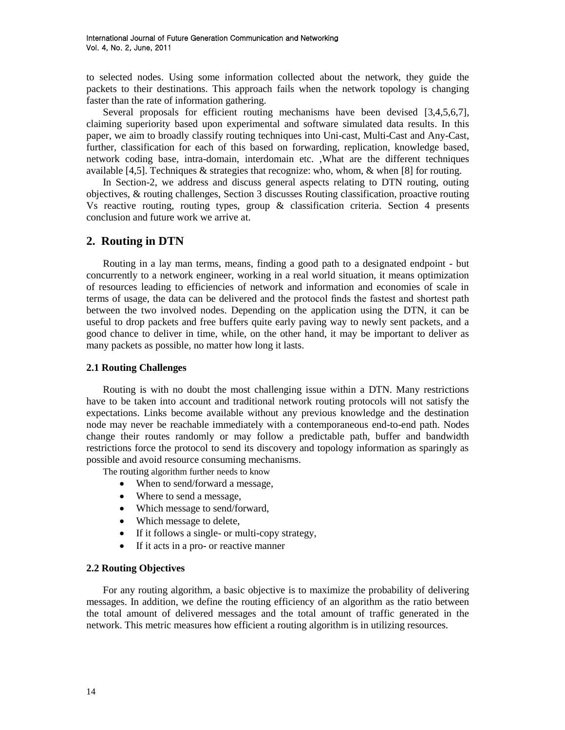to selected nodes. Using some information collected about the network, they guide the packets to their destinations. This approach fails when the network topology is changing faster than the rate of information gathering.

Several proposals for efficient routing mechanisms have been devised [3,4,5,6,7], claiming superiority based upon experimental and software simulated data results. In this paper, we aim to broadly classify routing techniques into Uni-cast, Multi-Cast and Any-Cast, further, classification for each of this based on forwarding, replication, knowledge based, network coding base, intra-domain, interdomain etc. ,What are the different techniques available [4,5]. Techniques  $\&$  strategies that recognize: who, whom,  $\&$  when [8] for routing.

In Section-2, we address and discuss general aspects relating to DTN routing, outing objectives, & routing challenges, Section 3 discusses Routing classification, proactive routing Vs reactive routing, routing types, group  $\&$  classification criteria. Section 4 presents conclusion and future work we arrive at.

## **2. Routing in DTN**

Routing in a lay man terms, means, finding a good path to a designated endpoint - but concurrently to a network engineer, working in a real world situation, it means optimization of resources leading to efficiencies of network and information and economies of scale in terms of usage, the data can be delivered and the protocol finds the fastest and shortest path between the two involved nodes. Depending on the application using the DTN, it can be useful to drop packets and free buffers quite early paving way to newly sent packets, and a good chance to deliver in time, while, on the other hand, it may be important to deliver as many packets as possible, no matter how long it lasts.

#### **2.1 Routing Challenges**

Routing is with no doubt the most challenging issue within a DTN. Many restrictions have to be taken into account and traditional network routing protocols will not satisfy the expectations. Links become available without any previous knowledge and the destination node may never be reachable immediately with a contemporaneous end-to-end path. Nodes change their routes randomly or may follow a predictable path, buffer and bandwidth restrictions force the protocol to send its discovery and topology information as sparingly as possible and avoid resource consuming mechanisms.

The routing algorithm further needs to know

- When to send/forward a message,
- Where to send a message,
- Which message to send/forward,
- Which message to delete,
- If it follows a single- or multi-copy strategy,
- If it acts in a pro- or reactive manner

## **2.2 Routing Objectives**

For any routing algorithm, a basic objective is to maximize the probability of delivering messages. In addition, we define the routing efficiency of an algorithm as the ratio between the total amount of delivered messages and the total amount of traffic generated in the network. This metric measures how efficient a routing algorithm is in utilizing resources.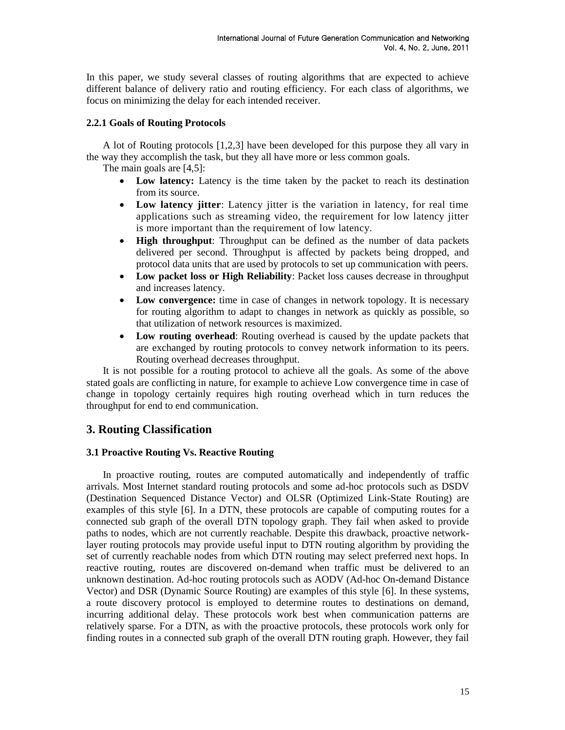In this paper, we study several classes of routing algorithms that are expected to achieve different balance of delivery ratio and routing efficiency. For each class of algorithms, we focus on minimizing the delay for each intended receiver.

#### **2.2.1 Goals of Routing Protocols**

A lot of Routing protocols [1,2,3] have been developed for this purpose they all vary in the way they accomplish the task, but they all have more or less common goals.

The main goals are [4,5]:

- **Low latency:** Latency is the time taken by the packet to reach its destination from its source.
- **Low latency jitter**: Latency jitter is the variation in latency, for real time applications such as streaming video, the requirement for low latency jitter is more important than the requirement of low latency.
- **High throughput**: Throughput can be defined as the number of data packets delivered per second. Throughput is affected by packets being dropped, and protocol data units that are used by protocols to set up communication with peers.
- **Low packet loss or High Reliability**: Packet loss causes decrease in throughput and increases latency.
- **Low convergence:** time in case of changes in network topology. It is necessary for routing algorithm to adapt to changes in network as quickly as possible, so that utilization of network resources is maximized.
- **Low routing overhead**: Routing overhead is caused by the update packets that are exchanged by routing protocols to convey network information to its peers. Routing overhead decreases throughput.

It is not possible for a routing protocol to achieve all the goals. As some of the above stated goals are conflicting in nature, for example to achieve Low convergence time in case of change in topology certainly requires high routing overhead which in turn reduces the throughput for end to end communication.

## **3. Routing Classification**

## **3.1 Proactive Routing Vs. Reactive Routing**

In proactive routing, routes are computed automatically and independently of traffic arrivals. Most Internet standard routing protocols and some ad-hoc protocols such as DSDV (Destination Sequenced Distance Vector) and OLSR (Optimized Link-State Routing) are examples of this style [6]. In a DTN, these protocols are capable of computing routes for a connected sub graph of the overall DTN topology graph. They fail when asked to provide paths to nodes, which are not currently reachable. Despite this drawback, proactive networklayer routing protocols may provide useful input to DTN routing algorithm by providing the set of currently reachable nodes from which DTN routing may select preferred next hops. In reactive routing, routes are discovered on-demand when traffic must be delivered to an unknown destination. Ad-hoc routing protocols such as AODV (Ad-hoc On-demand Distance Vector) and DSR (Dynamic Source Routing) are examples of this style [6]. In these systems, a route discovery protocol is employed to determine routes to destinations on demand, incurring additional delay. These protocols work best when communication patterns are relatively sparse. For a DTN, as with the proactive protocols, these protocols work only for finding routes in a connected sub graph of the overall DTN routing graph. However, they fail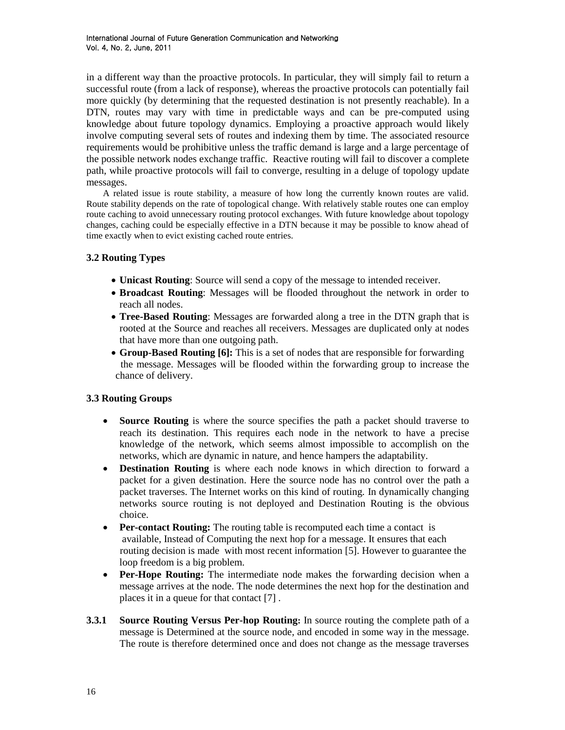in a different way than the proactive protocols. In particular, they will simply fail to return a successful route (from a lack of response), whereas the proactive protocols can potentially fail more quickly (by determining that the requested destination is not presently reachable). In a DTN, routes may vary with time in predictable ways and can be pre-computed using knowledge about future topology dynamics. Employing a proactive approach would likely involve computing several sets of routes and indexing them by time. The associated resource requirements would be prohibitive unless the traffic demand is large and a large percentage of the possible network nodes exchange traffic. Reactive routing will fail to discover a complete path, while proactive protocols will fail to converge, resulting in a deluge of topology update messages.

A related issue is route stability, a measure of how long the currently known routes are valid. Route stability depends on the rate of topological change. With relatively stable routes one can employ route caching to avoid unnecessary routing protocol exchanges. With future knowledge about topology changes, caching could be especially effective in a DTN because it may be possible to know ahead of time exactly when to evict existing cached route entries.

## **3.2 Routing Types**

- **Unicast Routing**: Source will send a copy of the message to intended receiver.
- **Broadcast Routing**: Messages will be flooded throughout the network in order to reach all nodes.
- **Tree-Based Routing**: Messages are forwarded along a tree in the DTN graph that is rooted at the Source and reaches all receivers. Messages are duplicated only at nodes that have more than one outgoing path.
- **Group-Based Routing [6]:** This is a set of nodes that are responsible for forwarding the message. Messages will be flooded within the forwarding group to increase the chance of delivery.

## **3.3 Routing Groups**

- **Source Routing** is where the source specifies the path a packet should traverse to reach its destination. This requires each node in the network to have a precise knowledge of the network, which seems almost impossible to accomplish on the networks, which are dynamic in nature, and hence hampers the adaptability.
- **Destination Routing** is where each node knows in which direction to forward a packet for a given destination. Here the source node has no control over the path a packet traverses. The Internet works on this kind of routing. In dynamically changing networks source routing is not deployed and Destination Routing is the obvious choice.
- **Per-contact Routing:** The routing table is recomputed each time a contact is available, Instead of Computing the next hop for a message. It ensures that each routing decision is made with most recent information [5]. However to guarantee the loop freedom is a big problem.
- **Per-Hope Routing:** The intermediate node makes the forwarding decision when a message arrives at the node. The node determines the next hop for the destination and places it in a queue for that contact [7] .
- **3.3.1 Source Routing Versus Per-hop Routing:** In source routing the complete path of a message is Determined at the source node, and encoded in some way in the message. The route is therefore determined once and does not change as the message traverses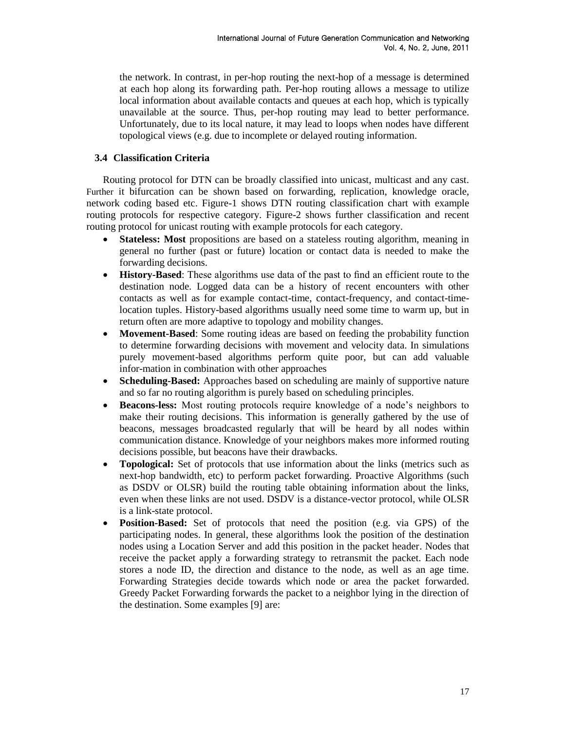the network. In contrast, in per-hop routing the next-hop of a message is determined at each hop along its forwarding path. Per-hop routing allows a message to utilize local information about available contacts and queues at each hop, which is typically unavailable at the source. Thus, per-hop routing may lead to better performance. Unfortunately, due to its local nature, it may lead to loops when nodes have different topological views (e.g. due to incomplete or delayed routing information.

## **3.4 Classification Criteria**

Routing protocol for DTN can be broadly classified into unicast, multicast and any cast. Further it bifurcation can be shown based on forwarding, replication, knowledge oracle, network coding based etc. Figure-1 shows DTN routing classification chart with example routing protocols for respective category. Figure-2 shows further classification and recent routing protocol for unicast routing with example protocols for each category.

- **Stateless: Most** propositions are based on a stateless routing algorithm, meaning in general no further (past or future) location or contact data is needed to make the forwarding decisions.
- **History-Based**: These algorithms use data of the past to find an efficient route to the destination node. Logged data can be a history of recent encounters with other contacts as well as for example contact-time, contact-frequency, and contact-timelocation tuples. History-based algorithms usually need some time to warm up, but in return often are more adaptive to topology and mobility changes.
- **Movement-Based**: Some routing ideas are based on feeding the probability function to determine forwarding decisions with movement and velocity data. In simulations purely movement-based algorithms perform quite poor, but can add valuable infor-mation in combination with other approaches
- **Scheduling-Based:** Approaches based on scheduling are mainly of supportive nature and so far no routing algorithm is purely based on scheduling principles.
- **Beacons-less:** Most routing protocols require knowledge of a node's neighbors to make their routing decisions. This information is generally gathered by the use of beacons, messages broadcasted regularly that will be heard by all nodes within communication distance. Knowledge of your neighbors makes more informed routing decisions possible, but beacons have their drawbacks.
- **Topological:** Set of protocols that use information about the links (metrics such as next-hop bandwidth, etc) to perform packet forwarding. Proactive Algorithms (such as DSDV or OLSR) build the routing table obtaining information about the links, even when these links are not used. DSDV is a distance-vector protocol, while OLSR is a link-state protocol.
- **Position-Based:** Set of protocols that need the position (e.g. via GPS) of the participating nodes. In general, these algorithms look the position of the destination nodes using a Location Server and add this position in the packet header. Nodes that receive the packet apply a forwarding strategy to retransmit the packet. Each node stores a node ID, the direction and distance to the node, as well as an age time. Forwarding Strategies decide towards which node or area the packet forwarded. Greedy Packet Forwarding forwards the packet to a neighbor lying in the direction of the destination. Some examples [9] are: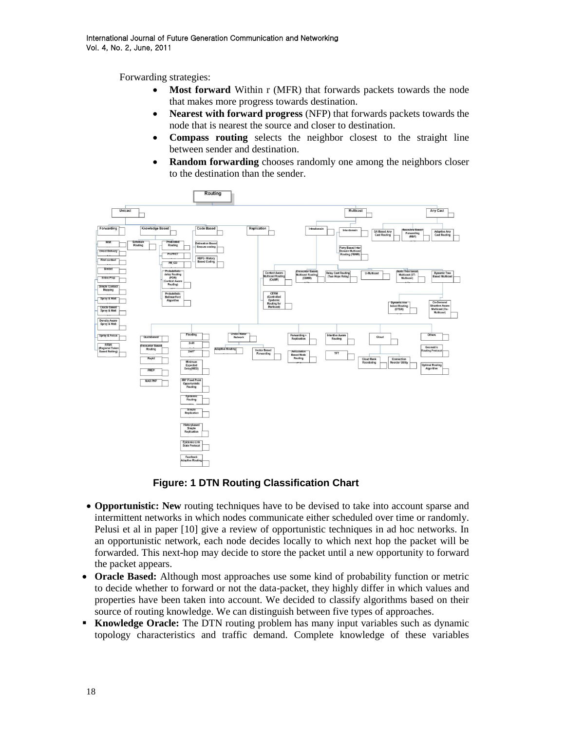Forwarding strategies:

- **Most forward** Within r (MFR) that forwards packets towards the node that makes more progress towards destination.
- **Nearest with forward progress** (NFP) that forwards packets towards the node that is nearest the source and closer to destination.
- **Compass routing** selects the neighbor closest to the straight line between sender and destination.
- **Random forwarding** chooses randomly one among the neighbors closer to the destination than the sender.



## **Figure: 1 DTN Routing Classification Chart**

- **Opportunistic: New** routing techniques have to be devised to take into account sparse and intermittent networks in which nodes communicate either scheduled over time or randomly. Pelusi et al in paper [10] give a review of opportunistic techniques in ad hoc networks. In an opportunistic network, each node decides locally to which next hop the packet will be forwarded. This next-hop may decide to store the packet until a new opportunity to forward the packet appears.
- **Oracle Based:** Although most approaches use some kind of probability function or metric to decide whether to forward or not the data-packet, they highly differ in which values and properties have been taken into account. We decided to classify algorithms based on their source of routing knowledge. We can distinguish between five types of approaches.
- **Knowledge Oracle:** The DTN routing problem has many input variables such as dynamic topology characteristics and traffic demand. Complete knowledge of these variables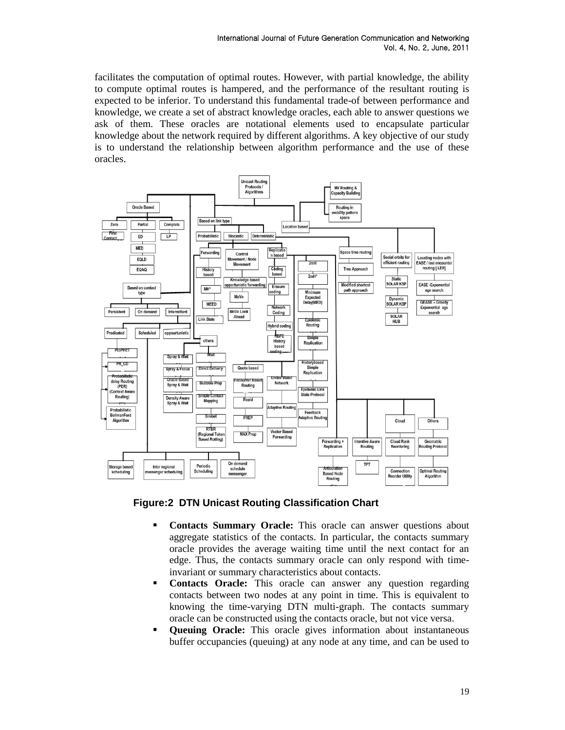facilitates the computation of optimal routes. However, with partial knowledge, the ability to compute optimal routes is hampered, and the performance of the resultant routing is expected to be inferior. To understand this fundamental trade-of between performance and knowledge, we create a set of abstract knowledge oracles, each able to answer questions we ask of them. These oracles are notational elements used to encapsulate particular knowledge about the network required by different algorithms. A key objective of our study is to understand the relationship between algorithm performance and the use of these oracles.



**Figure:2 DTN Unicast Routing Classification Chart**

- **Contacts Summary Oracle:** This oracle can answer questions about aggregate statistics of the contacts. In particular, the contacts summary oracle provides the average waiting time until the next contact for an edge. Thus, the contacts summary oracle can only respond with timeinvariant or summary characteristics about contacts.
- **Contacts Oracle:** This oracle can answer any question regarding contacts between two nodes at any point in time. This is equivalent to knowing the time-varying DTN multi-graph. The contacts summary oracle can be constructed using the contacts oracle, but not vice versa.
- **Oueuing Oracle:** This oracle gives information about instantaneous buffer occupancies (queuing) at any node at any time, and can be used to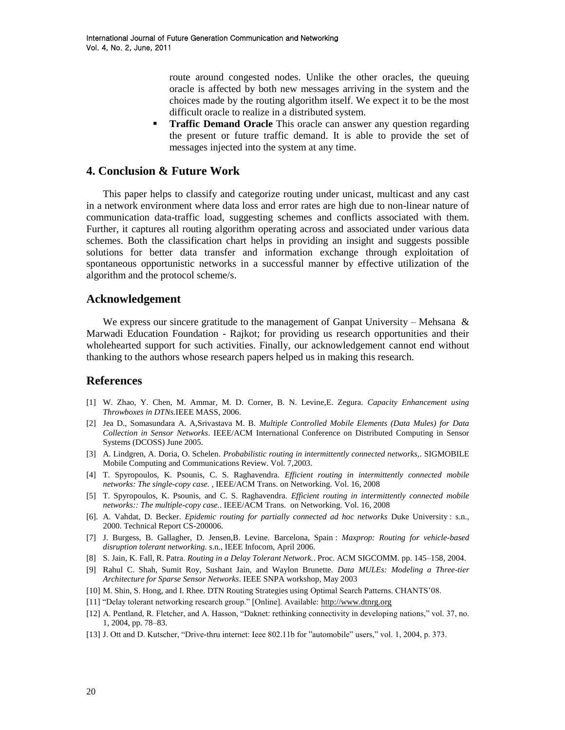route around congested nodes. Unlike the other oracles, the queuing oracle is affected by both new messages arriving in the system and the choices made by the routing algorithm itself. We expect it to be the most difficult oracle to realize in a distributed system.

**Traffic Demand Oracle** This oracle can answer any question regarding the present or future traffic demand. It is able to provide the set of messages injected into the system at any time.

## **4. Conclusion & Future Work**

This paper helps to classify and categorize routing under unicast, multicast and any cast in a network environment where data loss and error rates are high due to non-linear nature of communication data-traffic load, suggesting schemes and conflicts associated with them. Further, it captures all routing algorithm operating across and associated under various data schemes. Both the classification chart helps in providing an insight and suggests possible solutions for better data transfer and information exchange through exploitation of spontaneous opportunistic networks in a successful manner by effective utilization of the algorithm and the protocol scheme/s.

## **Acknowledgement**

We express our sincere gratitude to the management of Ganpat University – Mehsana  $\&$ Marwadi Education Foundation - Rajkot; for providing us research opportunities and their wholehearted support for such activities. Finally, our acknowledgement cannot end without thanking to the authors whose research papers helped us in making this research.

## **References**

- [1] W. Zhao, Y. Chen, M. Ammar, M. D. Corner, B. N. Levine,E. Zegura. *Capacity Enhancement using Throwboxes in DTNs.*IEEE MASS, 2006.
- [2] Jea D., Somasundara A. A,Srivastava M. B. *Multiple Controlled Mobile Elements (Data Mules) for Data Collection in Sensor Networks*. IEEE/ACM International Conference on Distributed Computing in Sensor Systems (DCOSS) June 2005.
- [3] A. Lindgren, A. Doria, O. Schelen. *Probabilistic routing in intermittently connected networks,*. SIGMOBILE Mobile Computing and Communications Review. Vol. 7,2003.
- [4] T. Spyropoulos, K. Psounis, C. S. Raghavendra. *Efficient routing in intermittently connected mobile networks: The single-copy case.* , IEEE/ACM Trans. on Networking. Vol. 16, 2008
- [5] T. Spyropoulos, K. Psounis, and C. S. Raghavendra. *Efficient routing in intermittently connected mobile networks:: The multiple-copy case.*. IEEE/ACM Trans. on Networking. Vol. 16, 2008
- [6]*.* A. Vahdat, D. Becker. *Epidemic routing for partially connected ad hoc networks* Duke University : s.n., 2000. Technical Report CS-200006.
- [7] J. Burgess, B. Gallagher, D. Jensen,B. Levine. Barcelona, Spain : *Maxprop: Routing for vehicle-based disruption tolerant networking.* s.n., IEEE Infocom, April 2006.
- [8] S. Jain, K. Fall, R. Patra. *Routing in a Delay Tolerant Network.*. Proc. ACM SIGCOMM. pp. 145–158, 2004.
- [9] Rahul C. Shah, Sumit Roy, Sushant Jain, and Waylon Brunette. *Data MULEs: Modeling a Three-tier Architecture for Sparse Sensor Networks*. IEEE SNPA workshop, May 2003
- [10] M. Shin, S. Hong, and I. Rhee. DTN Routing Strategies using Optimal Search Patterns. CHANTS'08.
- [11] "Delay tolerant networking research group." [Online]. Available: [http://www.dtnrg.org](http://www.dtnrg.org/)
- [12] A. Pentland, R. Fletcher, and A. Hasson, "Daknet: rethinking connectivity in developing nations," vol. 37, no. 1, 2004, pp. 78–83.
- [13] J. Ott and D. Kutscher, "Drive-thru internet: Ieee 802.11b for "automobile" users," vol. 1, 2004, p. 373.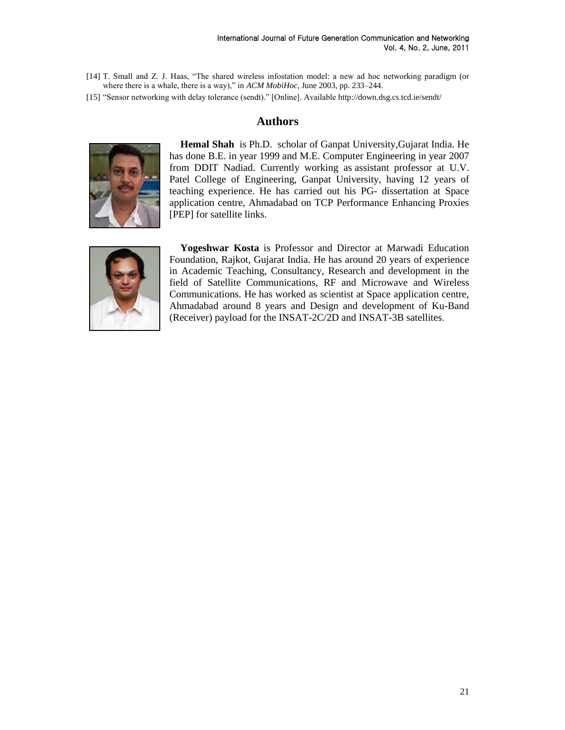- [14] T. Small and Z. J. Haas, "The shared wireless infostation model: a new ad hoc networking paradigm (or where there is a whale, there is a way)," in *ACM MobiHoc*, June 2003, pp. 233–244.
- [15] "Sensor networking with delay tolerance (sendt)." [Online]. Available http://down.dsg.cs.tcd.ie/sendt/

## **Authors**



**Hemal Shah** is Ph.D. scholar of Ganpat University,Gujarat India. He has done B.E. in year 1999 and M.E. Computer Engineering in year 2007 from DDIT Nadiad. Currently working as assistant professor at U.V. Patel College of Engineering, Ganpat University, having 12 years of teaching experience. He has carried out his PG- dissertation at Space application centre, Ahmadabad on TCP Performance Enhancing Proxies [PEP] for satellite links.



**Yogeshwar Kosta** is Professor and Director at Marwadi Education Foundation, Rajkot, Gujarat India. He has around 20 years of experience in Academic Teaching, Consultancy, Research and development in the field of Satellite Communications, RF and Microwave and Wireless Communications. He has worked as scientist at Space application centre, Ahmadabad around 8 years and Design and development of Ku-Band (Receiver) payload for the INSAT-2C/2D and INSAT-3B satellites.